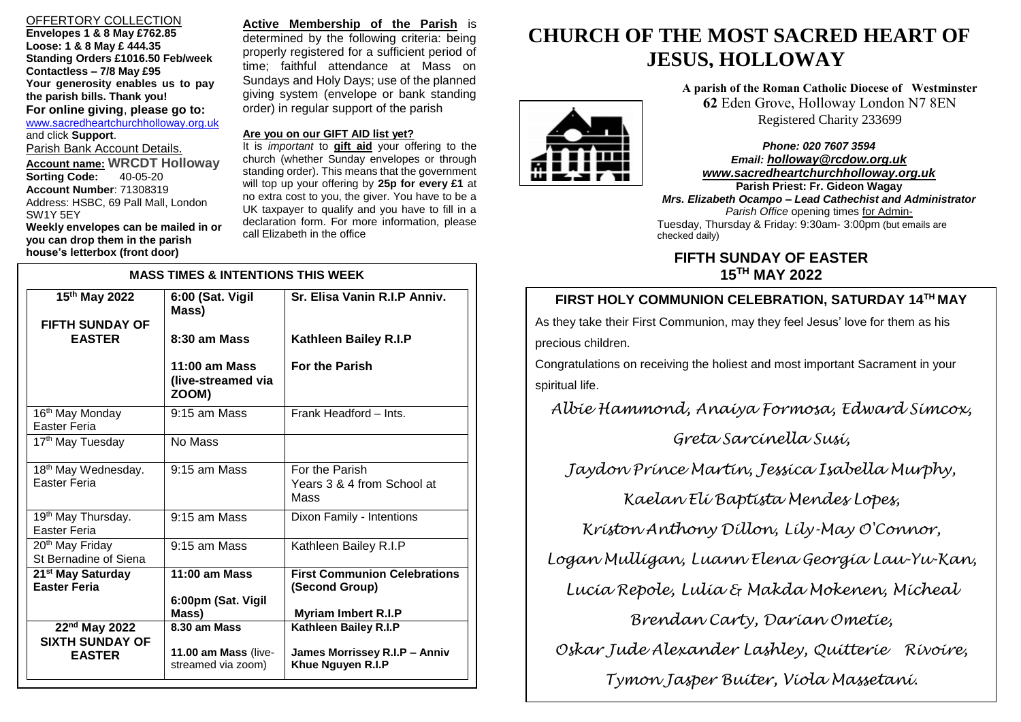# OFFERTORY COLLECTION

**Envelopes 1 & 8 May £762.85 Loose: 1 & 8 May £ 444.35 Standing Orders £1016.50 Feb/week Contactless – 7/8 May £95 Your generosity enables us to pay the parish bills. Thank you! For online giving**, **please go to:** [www.sacredheartchurchholloway.org.uk](http://www.sacredheartchurchholloway.org.uk/) and click **Support**. Parish Bank Account Details. **Account name: WRCDT Holloway Sorting Code: Account Number**: 71308319 Address: HSBC, 69 Pall Mall, London SW1Y 5EY **Weekly envelopes can be mailed in or you can drop them in the parish house's letterbox (front door)**

I

**Active Membership of the Parish** is determined by the following criteria: being properly registered for a sufficient period of time; faithful attendance at Mass on Sundays and Holy Days; use of the planned giving system (envelope or bank standing order) in regular support of the parish

#### **Are you on our GIFT AID list yet?**

It is *important* to **gift aid** your offering to the church (whether Sunday envelopes or through standing order). This means that the government will top up your offering by **25p for every £1** at no extra cost to you, the giver. You have to be a UK taxpayer to qualify and you have to fill in a declaration form. For more information, please call Elizabeth in the office

| <b>MASS TIMES &amp; INTENTIONS THIS WEEK</b>                         |                                                            |                                                                                     |
|----------------------------------------------------------------------|------------------------------------------------------------|-------------------------------------------------------------------------------------|
| 15th May 2022<br><b>FIFTH SUNDAY OF</b>                              | 6:00 (Sat. Vigil<br>Mass)                                  | Sr. Elisa Vanin R.I.P Anniv.                                                        |
| <b>EASTER</b>                                                        | 8:30 am Mass                                               | Kathleen Bailey R.I.P                                                               |
|                                                                      | $11:00$ am Mass<br>(live-streamed via<br>ZOOM)             | <b>For the Parish</b>                                                               |
| 16 <sup>th</sup> May Monday<br>Easter Feria                          | $9:15$ am Mass                                             | Frank Headford - Ints.                                                              |
| 17 <sup>th</sup> May Tuesday                                         | No Mass                                                    |                                                                                     |
| 18 <sup>th</sup> May Wednesday.<br>Easter Feria                      | 9:15 am Mass                                               | For the Parish<br>Years 3 & 4 from School at<br>Mass                                |
| 19 <sup>th</sup> May Thursday.<br>Easter Feria                       | 9:15 am Mass                                               | Dixon Family - Intentions                                                           |
| 20 <sup>th</sup> May Friday<br>St Bernadine of Siena                 | $9:15$ am Mass                                             | Kathleen Bailey R.I.P                                                               |
| 21 <sup>st</sup> May Saturday<br><b>Easter Feria</b>                 | $11:00$ am Mass<br>6:00pm (Sat. Vigil<br>Mass)             | <b>First Communion Celebrations</b><br>(Second Group)<br><b>Myriam Imbert R.I.P</b> |
| 22 <sup>nd</sup> May 2022<br><b>SIXTH SUNDAY OF</b><br><b>EASTER</b> | 8.30 am Mass<br>11.00 am Mass (live-<br>streamed via zoom) | Kathleen Bailey R.I.P<br>James Morrissey R.I.P - Anniv<br>Khue Nguyen R.I.P         |

# **CHURCH OF THE MOST SACRED HEART OF JESUS, HOLLOWAY**

**A parish of the Roman Catholic Diocese of Westminster 62** Eden Grove, Holloway London N7 8EN Registered Charity 233699

 Tuesday, Thursday & Friday: 9:30am- 3:00pm (but emails are *Phone: 020 7607 3594 Email: [holloway@rcdow.org.uk](mailto:holloway@rcdow.org.uk) www.sacredheartchurchholloway.org.uk* **Parish Priest: Fr. Gideon Wagay** *Mrs. Elizabeth Ocampo – Lead Cathechist and Administrator Parish Office* opening times for Admin-

# **FIFTH SUNDAY OF EASTER 15TH MAY 2022**

# **FIRST HOLY COMMUNION CELEBRATION, SATURDAY 14TH MAY TH March 2022**

As they take their First Communion, may they feel Jesus' love for them as his precious children.

checked daily)

Congratulations on receiving the holiest and most important Sacrament in your spiritual life.

*Albie Hammond, Anaiya Formosa, Edward Simcox,* 

*Greta Sarcinella Susi,*

*Jaydon Prince Martin, Jessica Isabella Murphy,* 

*Kaelan Eli Baptista Mendes Lopes,*

*Kriston Anthony Dillon, Lily-May O'Connor,* 

*Logan Mulligan, Luann Elena Georgia Lau-Yu-Kan,*

*Lucia Repole, Lulia & Makda Mokenen, Micheal* 

*Brendan Carty, Darian Ometie,*

*Oskar Jude Alexander Lashley, Quitterie Rivoire,* 

*Tymon Jasper Buiter, Viola Massetani.*